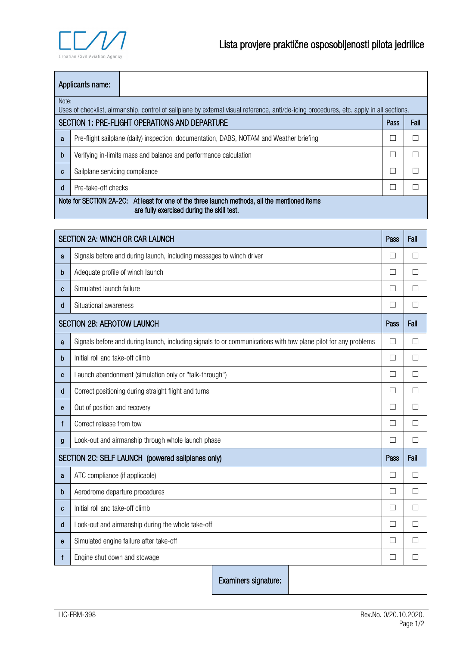

| Applicants name:                                                                                                                                 |                                                                  |                                                                                          |  |  |  |
|--------------------------------------------------------------------------------------------------------------------------------------------------|------------------------------------------------------------------|------------------------------------------------------------------------------------------|--|--|--|
| Note:<br>Uses of checklist, airmanship, control of sailplane by external visual reference, anti/de-icing procedures, etc. apply in all sections. |                                                                  |                                                                                          |  |  |  |
| SECTION 1: PRE-FLIGHT OPERATIONS AND DEPARTURE<br>Fail<br>Pass                                                                                   |                                                                  |                                                                                          |  |  |  |
| a                                                                                                                                                |                                                                  | Pre-flight sailplane (daily) inspection, documentation, DABS, NOTAM and Weather briefing |  |  |  |
| b                                                                                                                                                | Verifying in-limits mass and balance and performance calculation |                                                                                          |  |  |  |
| C                                                                                                                                                | Sailplane servicing compliance                                   |                                                                                          |  |  |  |
| d                                                                                                                                                | Pre-take-off checks                                              |                                                                                          |  |  |  |
| Note for SECTION 2A-2C: At least for one of the three launch methods, all the mentioned items<br>are fully exercised during the skill test.      |                                                                  |                                                                                          |  |  |  |

| <b>SECTION 2A: WINCH OR CAR LAUNCH</b>            |                                                                                                                |              | Fail         |
|---------------------------------------------------|----------------------------------------------------------------------------------------------------------------|--------------|--------------|
| a                                                 | Signals before and during launch, including messages to winch driver                                           |              |              |
| b                                                 | Adequate profile of winch launch                                                                               | $\mathbf{I}$ | $\mathsf{L}$ |
| C                                                 | Simulated launch failure                                                                                       | $\mathbf{L}$ | $\Box$       |
| d                                                 | Situational awareness                                                                                          | $\mathbf{L}$ | $\Box$       |
| <b>SECTION 2B: AEROTOW LAUNCH</b>                 |                                                                                                                |              | Fail         |
| a                                                 | Signals before and during launch, including signals to or communications with tow plane pilot for any problems | $\Box$       | □            |
| b                                                 | Initial roll and take-off climb                                                                                |              |              |
| C                                                 | Launch abandonment (simulation only or "talk-through")                                                         |              |              |
| d                                                 | Correct positioning during straight flight and turns                                                           | $\mathbf{L}$ | П            |
| e                                                 | Out of position and recovery                                                                                   |              | П            |
| f                                                 | Correct release from tow                                                                                       |              | П            |
| g                                                 | Look-out and airmanship through whole launch phase                                                             |              |              |
| SECTION 2C: SELF LAUNCH (powered sailplanes only) |                                                                                                                |              | Fail         |
| a                                                 | ATC compliance (if applicable)                                                                                 |              |              |
| b                                                 | Aerodrome departure procedures                                                                                 |              |              |
| C                                                 | Initial roll and take-off climb                                                                                |              |              |
| d                                                 | Look-out and airmanship during the whole take-off                                                              |              |              |
| е                                                 | Simulated engine failure after take-off                                                                        |              |              |
| f                                                 | Engine shut down and stowage                                                                                   |              |              |
|                                                   | Examiners signature:                                                                                           |              |              |